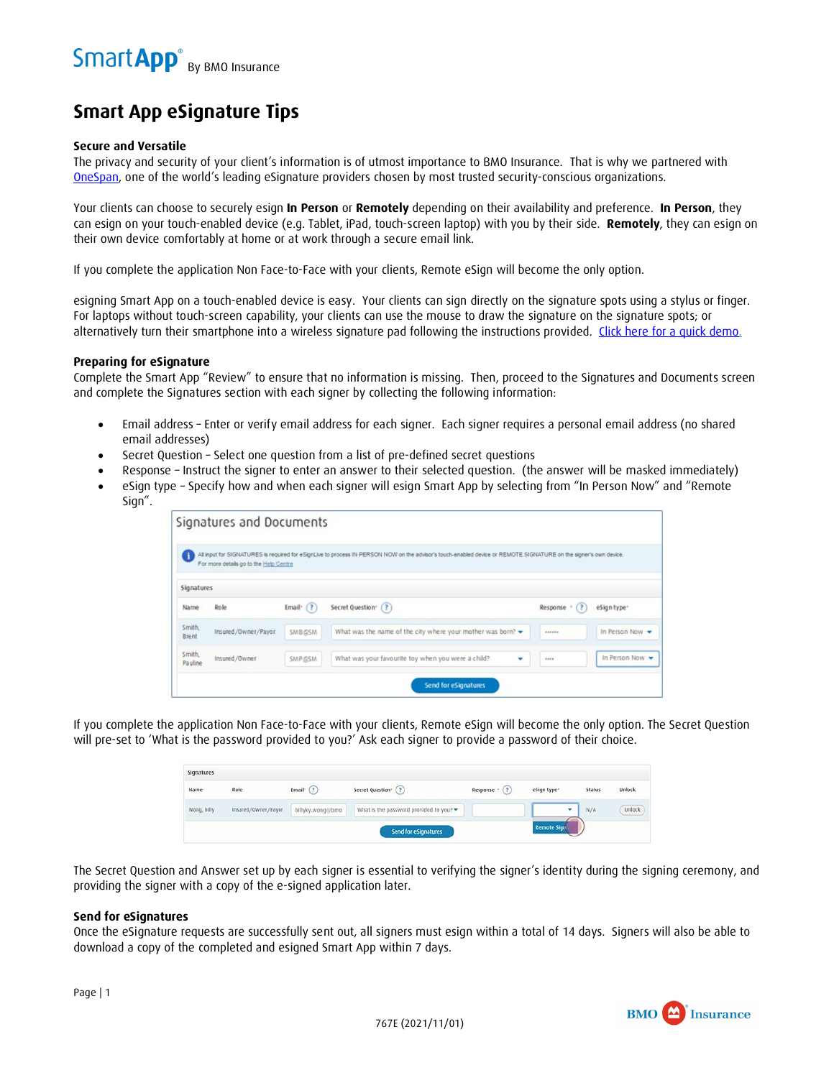# **Smart App eSignature Tips**

#### **Secure and Versatile**

The privacy and security of your client's information is of utmost importance to BMO Insurance. That is why we partnered with [OneSpan](https://www.onespan.com/), one of the world's leading eSignature providers chosen by most trusted security-conscious organizations.

Your clients can choose to securely esign **In Person** or **Remotely** depending on their availability and preference. **In Person**, they can esign on your touch-enabled device (e.g. Tablet, iPad, touch-screen laptop) with you by their side. **Remotely**, they can esign on their own device comfortably at home or at work through a secure email link.

If you complete the application Non Face-to-Face with your clients, Remote eSign will become the only option.

esigning Smart App on a touch-enabled device is easy. Your clients can sign directly on the signature spots using a stylus or finger. For laptops without touch-screen capability, your clients can use the mouse to draw the signature on the signature spots; or alternatively turn their smartphone into a wireless signature pad following the instructions provided. [Click here for a quick demo.](https://youtu.be/35mCn5bdNJ4)

#### **Preparing for eSignature**

Complete the Smart App "Review" to ensure that no information is missing. Then, proceed to the Signatures and Documents screen and complete the Signatures section with each signer by collecting the following information:

- Email address Enter or verify email address for each signer. Each signer requires a personal email address (no shared email addresses)
- Secret Question Select one question from a list of pre-defined secret questions
- Response Instruct the signer to enter an answer to their selected question. (the answer will be masked immediately)
- eSign type Specify how and when each signer will esign Smart App by selecting from "In Person Now" and "Remote Sign".

|                   | For more details go to the Help Centre |               | All input for SIGNATURES is required for eSignLive to process IN PERSON NOW on the advisor's touch-enabled device or REMOTE SIGNATURE on the signer's own device. |                 |               |
|-------------------|----------------------------------------|---------------|-------------------------------------------------------------------------------------------------------------------------------------------------------------------|-----------------|---------------|
| Signatures        |                                        |               |                                                                                                                                                                   |                 |               |
| Name              | Role                                   | Email: $(?)$  | Secret Question (?)                                                                                                                                               | (3)<br>Response | eSign type:   |
| Smith,<br>Brent   | Insured/Owner/Payor                    | SMB@SM        | What was the name of the city where your mother was born? $\blacktriangleright$                                                                                   | ------          | In Person Now |
| Smith,<br>Pauline | Insured/Owner                          | <b>SMP@SM</b> | What was your favourite toy when you were a child?                                                                                                                | 10000           | In Person Now |

If you complete the application Non Face-to-Face with your clients, Remote eSign will become the only option. The Secret Question will pre-set to 'What is the password provided to you?' Ask each signer to provide a password of their choice.

| Signatures  |                     |                          |                                                             |                      |                    |        |        |
|-------------|---------------------|--------------------------|-------------------------------------------------------------|----------------------|--------------------|--------|--------|
| Name        | Role                | Email <sup>*</sup> $($ ? | Secret Question <sup>-</sup> (?)                            | Response $\cdot$ (?) | eSign type*        | Status | Unlock |
| Wong, billy | Insured/Owner/Payor | billyky.wong@bmo         | What is the password provided to you? $\blacktriangleright$ |                      |                    | N/A    | Unlock |
|             |                     |                          |                                                             |                      | <b>Remote Sign</b> |        |        |

The Secret Question and Answer set up by each signer is essential to verifying the signer's identity during the signing ceremony, and providing the signer with a copy of the e-signed application later.

#### **Send for eSignatures**

Once the eSignature requests are successfully sent out, all signers must esign within a total of 14 days. Signers will also be able to download a copy of the completed and esigned Smart App within 7 days.

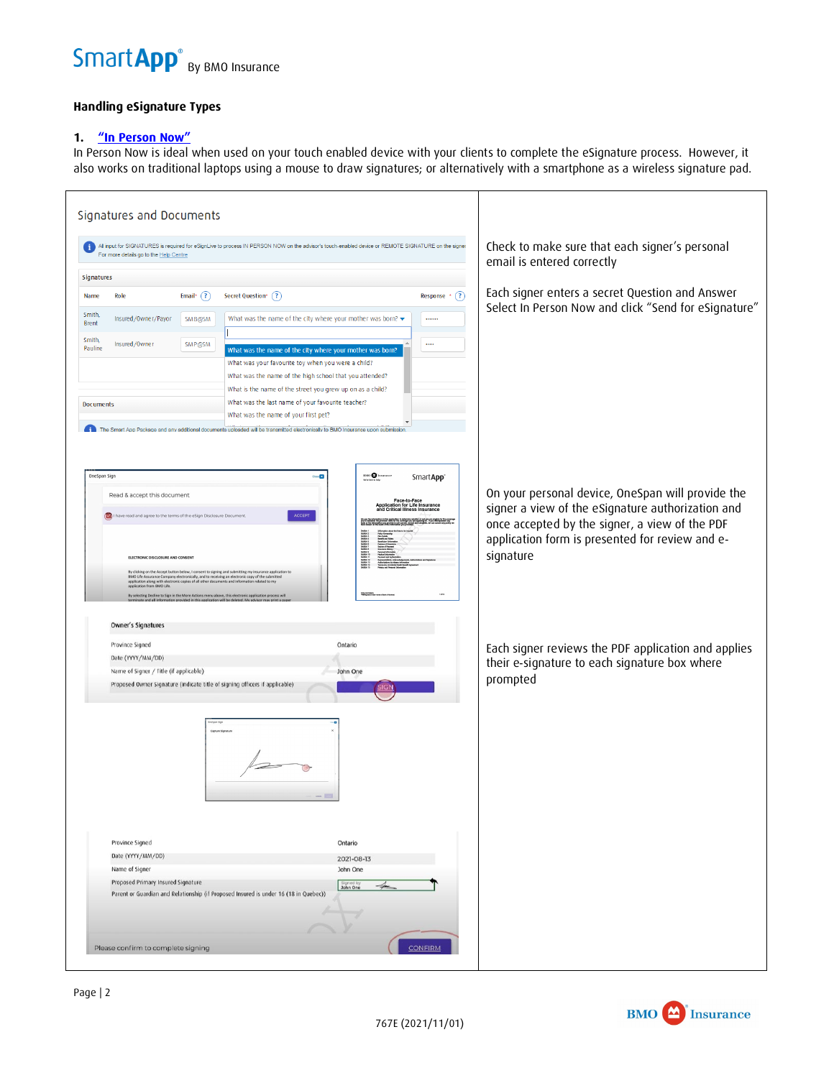

# **Handling eSignature Types**

# **1. ["In Person Now"](https://youtu.be/35mCn5bdNJ4)**

In Person Now is ideal when used on your touch enabled device with your clients to complete the eSignature process. However, it also works on traditional laptops using a mouse to draw signatures; or alternatively with a smartphone as a wireless signature pad.

|                           | For more details go to the Help Centre                                                                                      | All input for SIGNATURES is required for eSignLive to process IN PERSON NOW on the advisor's touch-enabled device or REMOTE SIGNATURE on the signer                                                            |                                                                                                                              |                       | Check to make sure that each signer's personal<br>email is entered correctly |
|---------------------------|-----------------------------------------------------------------------------------------------------------------------------|----------------------------------------------------------------------------------------------------------------------------------------------------------------------------------------------------------------|------------------------------------------------------------------------------------------------------------------------------|-----------------------|------------------------------------------------------------------------------|
| <b>Signatures</b>         |                                                                                                                             |                                                                                                                                                                                                                |                                                                                                                              |                       |                                                                              |
| Name<br>Role              | Email* $(?)$                                                                                                                | Secret Question* (?)                                                                                                                                                                                           |                                                                                                                              | Response *<br>(3)     | Each signer enters a secret Question and Answer                              |
|                           |                                                                                                                             |                                                                                                                                                                                                                |                                                                                                                              |                       | Select In Person Now and click "Send for eSignature"                         |
| Smith,<br><b>Brent</b>    | Insured/Owner/Payor<br>SMB@SM                                                                                               | What was the name of the city where your mother was born? $\blacktriangleright$                                                                                                                                |                                                                                                                              |                       |                                                                              |
| Smith,                    |                                                                                                                             |                                                                                                                                                                                                                |                                                                                                                              |                       |                                                                              |
| Insured/Owner<br>Pauline  | SMP@SM                                                                                                                      | What was the name of the city where your mother was born?                                                                                                                                                      |                                                                                                                              | $\cdots$              |                                                                              |
|                           |                                                                                                                             | What was your favourite toy when you were a child?                                                                                                                                                             |                                                                                                                              |                       |                                                                              |
|                           |                                                                                                                             | What was the name of the high school that you attended?                                                                                                                                                        |                                                                                                                              |                       |                                                                              |
|                           |                                                                                                                             | What is the name of the street you grew up on as a child?                                                                                                                                                      |                                                                                                                              |                       |                                                                              |
| <b>Documents</b>          |                                                                                                                             | What was the last name of your favourite teacher?<br>What was the name of your first pet?                                                                                                                      |                                                                                                                              |                       |                                                                              |
|                           |                                                                                                                             | The Smart App Package and any additional documents uploaded will be transmitted electronically to BMO Insurance upon submission                                                                                |                                                                                                                              |                       |                                                                              |
|                           |                                                                                                                             |                                                                                                                                                                                                                |                                                                                                                              |                       |                                                                              |
| OneSpan Sign              |                                                                                                                             | Close ES                                                                                                                                                                                                       | 890 <b>O</b> han                                                                                                             | SmartApp <sup>®</sup> |                                                                              |
|                           |                                                                                                                             |                                                                                                                                                                                                                |                                                                                                                              |                       | On your personal device, OneSpan will provide the                            |
|                           | Read & accept this document                                                                                                 |                                                                                                                                                                                                                | Face-to-Face<br>Application for Life Insurance<br>and Critical Illness Insurance                                             |                       | signer a view of the eSignature authorization and                            |
|                           | I have read and agree to the terms of the eSign Disclosure Document                                                         | <b>ACCEPT</b>                                                                                                                                                                                                  | æ                                                                                                                            |                       |                                                                              |
|                           |                                                                                                                             |                                                                                                                                                                                                                |                                                                                                                              |                       | once accepted by the signer, a view of the PDF                               |
|                           |                                                                                                                             |                                                                                                                                                                                                                |                                                                                                                              |                       | application form is presented for review and e-                              |
|                           | ELECTRONIC DISCLOSURE AND CONSENT                                                                                           |                                                                                                                                                                                                                | <b>Seden 1</b><br>Seden 4<br>Seden 4<br>Seden 4<br>Seden 1<br>Seden 1<br>Seden 1<br>Seden 1<br>Seden 1<br>Seden 1<br>Seden 1 |                       | signature                                                                    |
|                           |                                                                                                                             | By clicking on the Accept button below, I consent to signing and submitting my insurance application to<br>BMO Life Assurance Company electronically, and to receiving an electronic copy of the submitted     |                                                                                                                              |                       |                                                                              |
|                           | application along with electronic copies of all other documents and information related to my<br>application from BMO Life. |                                                                                                                                                                                                                |                                                                                                                              |                       |                                                                              |
|                           |                                                                                                                             | By selecting Decline to Sign in the More Actions menu above, this electronic application process will<br>terminate and all information provided in this application will be deleted. My advisor may print a pa |                                                                                                                              |                       |                                                                              |
| <b>Owner's Signatures</b> |                                                                                                                             |                                                                                                                                                                                                                |                                                                                                                              |                       |                                                                              |
| Province Signed           |                                                                                                                             | Ontario                                                                                                                                                                                                        |                                                                                                                              |                       |                                                                              |
| Date (YYYY/MM/DD)         |                                                                                                                             |                                                                                                                                                                                                                |                                                                                                                              |                       | Each signer reviews the PDF application and applies                          |
|                           | Name of Signer / Title (if applicable)                                                                                      | John One                                                                                                                                                                                                       |                                                                                                                              |                       | their e-signature to each signature box where                                |
|                           |                                                                                                                             | Proposed Owner Signature (indicate title of signing officers if applicable)                                                                                                                                    | <u>SIGI</u>                                                                                                                  |                       | prompted                                                                     |
|                           |                                                                                                                             |                                                                                                                                                                                                                |                                                                                                                              |                       |                                                                              |
|                           |                                                                                                                             |                                                                                                                                                                                                                |                                                                                                                              |                       |                                                                              |
|                           |                                                                                                                             |                                                                                                                                                                                                                |                                                                                                                              |                       |                                                                              |
|                           |                                                                                                                             |                                                                                                                                                                                                                |                                                                                                                              |                       |                                                                              |
|                           |                                                                                                                             |                                                                                                                                                                                                                |                                                                                                                              |                       |                                                                              |
|                           |                                                                                                                             |                                                                                                                                                                                                                |                                                                                                                              |                       |                                                                              |
|                           |                                                                                                                             |                                                                                                                                                                                                                |                                                                                                                              |                       |                                                                              |
|                           |                                                                                                                             |                                                                                                                                                                                                                |                                                                                                                              |                       |                                                                              |
|                           |                                                                                                                             |                                                                                                                                                                                                                |                                                                                                                              |                       |                                                                              |
|                           |                                                                                                                             |                                                                                                                                                                                                                |                                                                                                                              |                       |                                                                              |
| Province Signed           |                                                                                                                             | Ontario                                                                                                                                                                                                        |                                                                                                                              |                       |                                                                              |
| Date (YYYY/MM/DD)         |                                                                                                                             |                                                                                                                                                                                                                | 2021-08-13                                                                                                                   |                       |                                                                              |
| Name of Signer            |                                                                                                                             | John One                                                                                                                                                                                                       |                                                                                                                              |                       |                                                                              |
|                           | Proposed Primary Insured Signature                                                                                          |                                                                                                                                                                                                                | Signed by<br><b>John One</b>                                                                                                 |                       |                                                                              |
|                           |                                                                                                                             |                                                                                                                                                                                                                |                                                                                                                              |                       |                                                                              |
|                           | Parent or Guardian and Relationship (if Proposed Insured is under 16 (18 in Quebec))                                        |                                                                                                                                                                                                                |                                                                                                                              |                       |                                                                              |
|                           |                                                                                                                             |                                                                                                                                                                                                                |                                                                                                                              |                       |                                                                              |

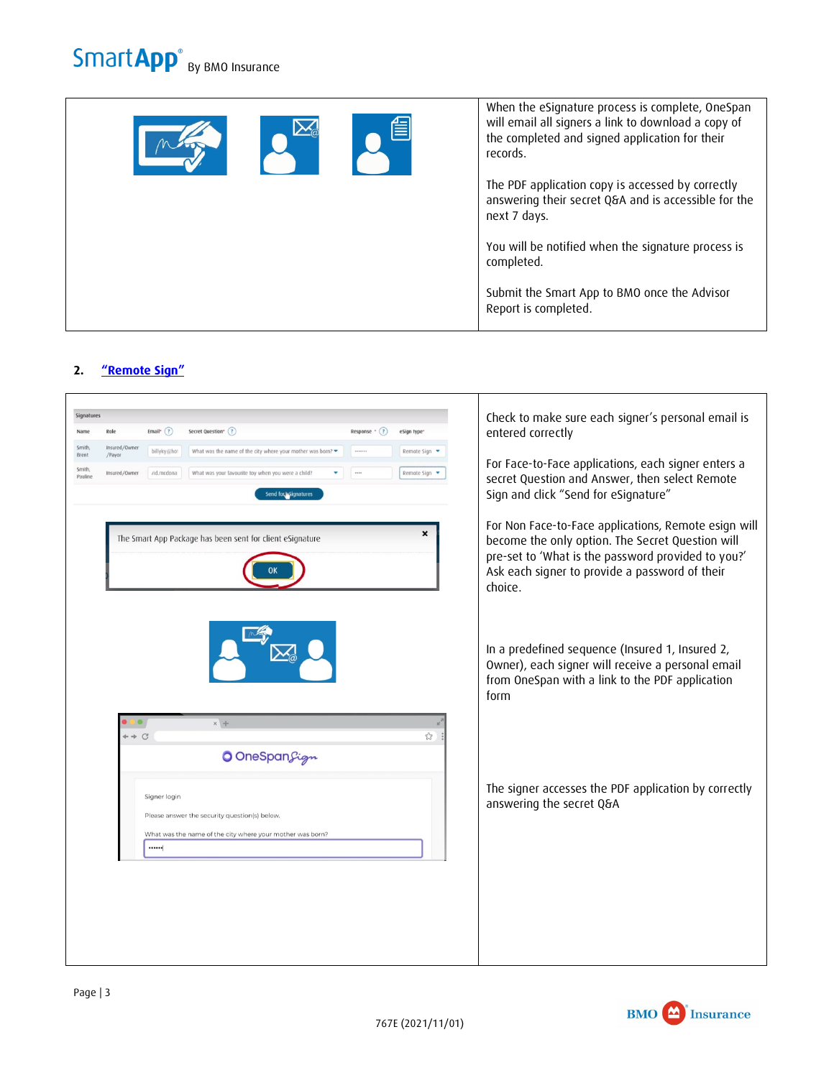|  | When the eSignature process is complete, OneSpan<br>will email all signers a link to download a copy of<br>the completed and signed application for their<br>records. |
|--|-----------------------------------------------------------------------------------------------------------------------------------------------------------------------|
|  | The PDF application copy is accessed by correctly<br>answering their secret Q&A and is accessible for the<br>next 7 days.                                             |
|  | You will be notified when the signature process is<br>completed.                                                                                                      |
|  | Submit the Smart App to BMO once the Advisor<br>Report is completed.                                                                                                  |
|  |                                                                                                                                                                       |

# **2. ["Remote Sign"](https://youtu.be/9Vd_4ncrXHc)**



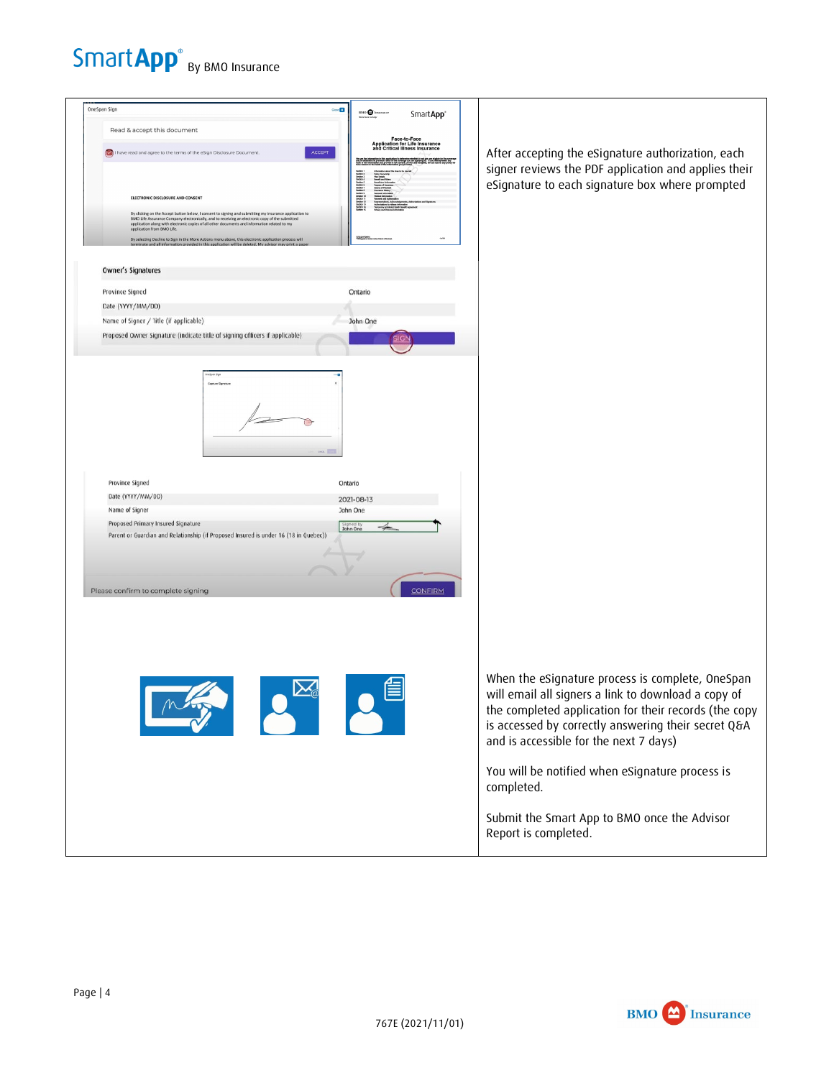



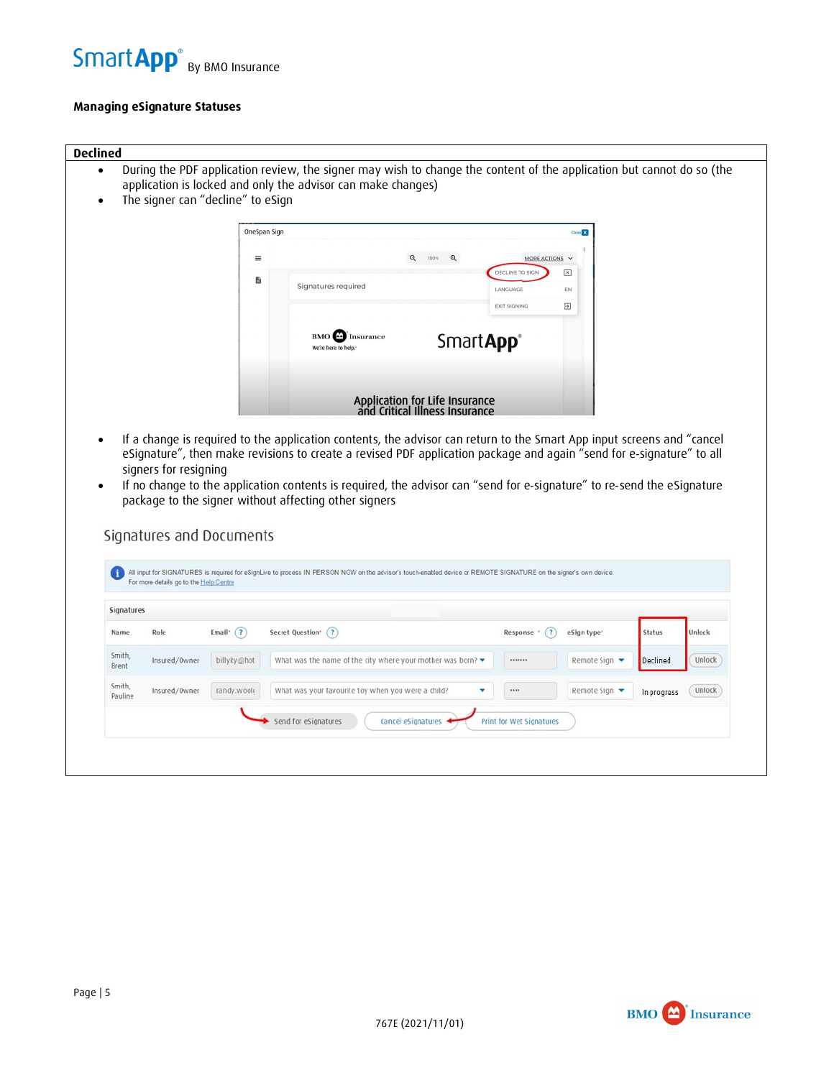

### **Managing [eSignature Statuses](https://youtu.be/K-DQN9sDF90)**

#### **Declined**

- During the PDF application review, the signer may wish to change the content of the application but cannot do so (the application is locked and only the advisor can make changes)
- The signer can "decline" to eSign

| OneSpan Sign |                                                       |                                                                  |                               | Close <b>EX</b>         |
|--------------|-------------------------------------------------------|------------------------------------------------------------------|-------------------------------|-------------------------|
| $\equiv$     |                                                       | $\mathbf{Q}$<br>$^{\circ}$<br>100%                               | MORE ACTIONS V                |                         |
| <sup>B</sup> |                                                       |                                                                  | DECLINE TO SIGN               | $\overline{\mathbf{x}}$ |
|              | Signatures required                                   |                                                                  | LANGUAGE                      | EN                      |
|              |                                                       |                                                                  | <b>EXIT SIGNING</b>           | $\overline{ }$          |
|              | <b>BMO</b><br><b>Insurance</b><br>We're here to help. |                                                                  | Smart <b>App</b> <sup>®</sup> |                         |
|              |                                                       | Application for Life Insurance<br>and Critical Illness Insurance |                               |                         |

• If a change is required to the application contents, the advisor can return to the Smart App input screens and "cancel eSignature", then make revisions to create a revised PDF application package and again "send for e-signature" to all signers for resigning

 $\begin{array}{c} \hline \end{array}$ 

• If no change to the application contents is required, the advisor can "send for e-signature" to re-send the eSignature package to the signer without affecting other signers

# Signatures and Documents

| Signatures             |               |                           |                                                                                 |                              |                         |               |        |
|------------------------|---------------|---------------------------|---------------------------------------------------------------------------------|------------------------------|-------------------------|---------------|--------|
| Name                   | Role          | (2)<br>Email <sup>*</sup> | Secret Question' (?)                                                            | $\mathbf{R}$<br>Response ' ( | eSign type <sup>*</sup> | <b>Status</b> | Unlock |
| Smith,<br><b>Brent</b> | Insured/Owner | billyky@hot               | What was the name of the city where your mother was born? $\blacktriangleright$ | *******                      | Remote Sign ▼           | Declined      | Unlock |
| Smith,<br>Pauline      | Insured/Owner | randy.wool                | What was your favourite toy when you were a child?<br>v                         |                              | Remote Sign ▼           | In progress   | Unlock |
|                        |               |                           | Cancel eSignatures<br>Send for eSignatures                                      | Print for Wet Signatures     |                         |               |        |